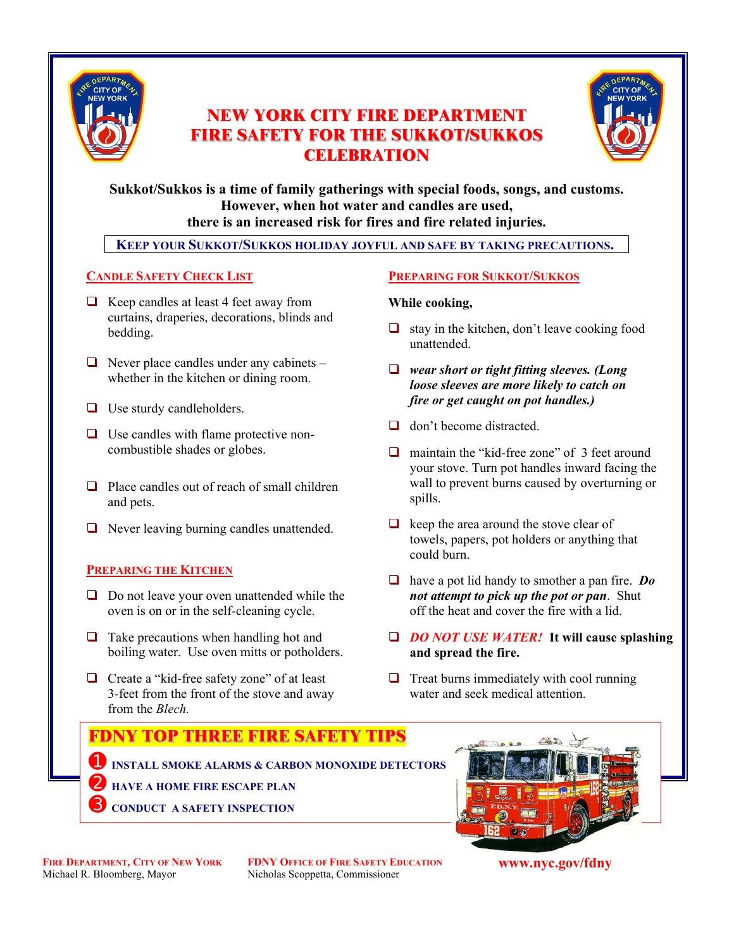

# **NEW YORK CITY FIRE DEPARTMENT FIRE SAFETY FOR THE SUKKOT/SUKKOS CELEBRATION**



# **Sukkot/Sukkos is a time of family gatherings with special foods, songs, and customs. However, when hot water and candles are used, there is an increased risk for fires and fire related injuries.**

 **KEEP YOUR SUKKOT/SUKKOS HOLIDAY JOYFUL AND SAFE BY TAKING PRECAUTIONS. .**

# **CANDLE SAFETY CHECK LIST**

- $\Box$  Keep candles at least 4 feet away from curtains, draperies, decorations, blinds and bedding.
- $\Box$  Never place candles under any cabinets whether in the kitchen or dining room.
- $\Box$  Use sturdy candleholders.
- $\Box$  Use candles with flame protective noncombustible shades or globes.
- $\Box$  Place candles out of reach of small children and pets.
- $\Box$  Never leaving burning candles unattended.

## **PREPARING THE KITCHEN**

- $\Box$  Do not leave your oven unattended while the oven is on or in the self-cleaning cycle.
- $\Box$  Take precautions when handling hot and boiling water. Use oven mitts or potholders.
- □ Create a "kid-free safety zone" of at least 3-feet from the front of the stove and away from the *Blech.*

## **PREPARING FOR SUKKOT/SUKKOS**

## **While cooking,**

- $\Box$  stay in the kitchen, don't leave cooking food unattended.
- *wear short or tight fitting sleeves. (Long loose sleeves are more likely to catch on fire or get caught on pot handles.)*
- $\Box$  don't become distracted.
- $\Box$  maintain the "kid-free zone" of 3 feet around your stove. Turn pot handles inward facing the wall to prevent burns caused by overturning or spills.
- $\Box$  keep the area around the stove clear of towels, papers, pot holders or anything that could burn.
- have a pot lid handy to smother a pan fire. *Do not attempt to pick up the pot or pan*. Shut off the heat and cover the fire with a lid.
- *DO NOT USE WATER!* **It will cause splashing and spread the fire.**
- $\Box$  Treat burns immediately with cool running water and seek medical attention.



**FIRE DEPARTMENT, CITY OF NEW YORK FDNY OFFICE OF FIRE SAFETY EDUCATION**<br>Michael R. Bloomberg, Mayor Nicholas Scoppetta, Commissioner Nicholas Scoppetta, Commissioner

**www.nyc.gov/fdny**